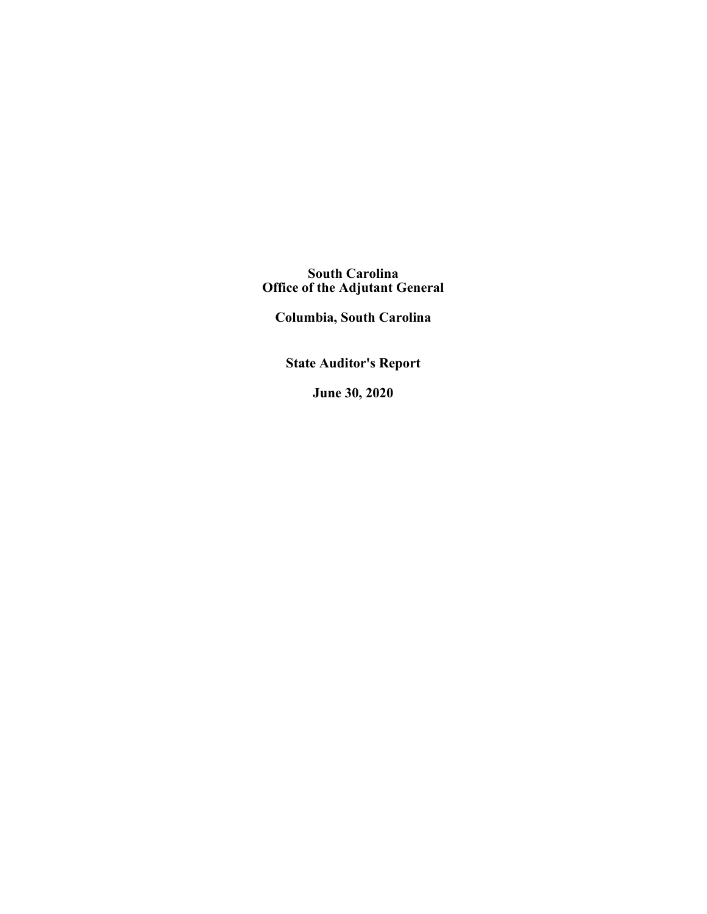**South Carolina Office of the Adjutant General**

**Columbia, South Carolina**

**State Auditor's Report**

**June 30, 2020**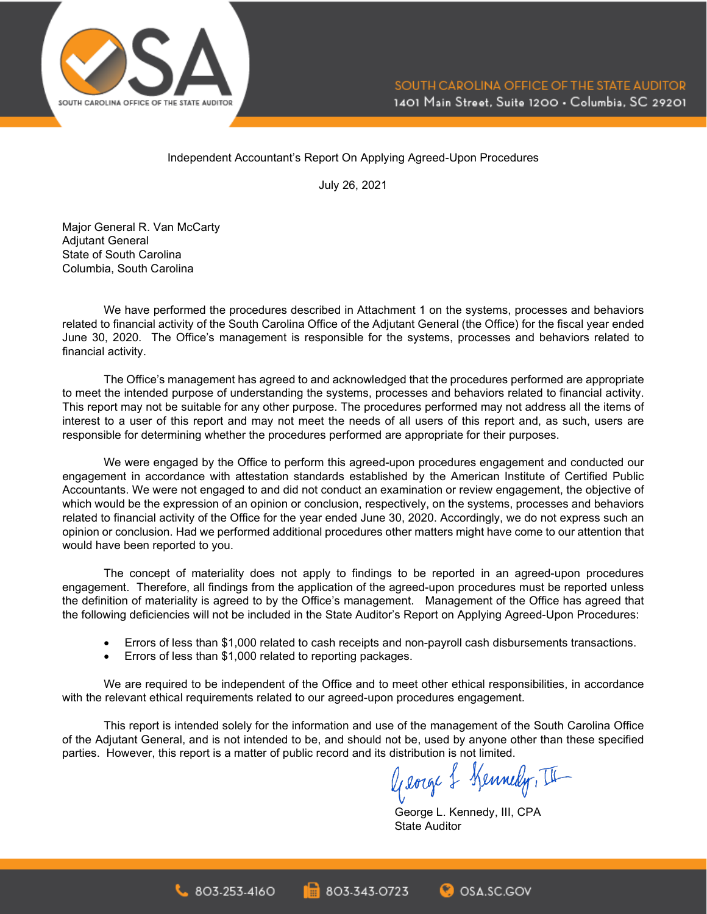

Independent Accountant's Report On Applying Agreed-Upon Procedures

July 26, 2021

Major General R. Van McCarty **Adiutant General** State of South Carolina Columbia, South Carolina

We have performed the procedures described in Attachment 1 on the systems, processes and behaviors related to financial activity of the South Carolina Office of the Adjutant General (the Office) for the fiscal year ended June 30, 2020. The Office's management is responsible for the systems, processes and behaviors related to financial activity.

The Office's management has agreed to and acknowledged that the procedures performed are appropriate to meet the intended purpose of understanding the systems, processes and behaviors related to financial activity. This report may not be suitable for any other purpose. The procedures performed may not address all the items of interest to a user of this report and may not meet the needs of all users of this report and, as such, users are responsible for determining whether the procedures performed are appropriate for their purposes.

We were engaged by the Office to perform this agreed-upon procedures engagement and conducted our engagement in accordance with attestation standards established by the American Institute of Certified Public Accountants. We were not engaged to and did not conduct an examination or review engagement, the objective of which would be the expression of an opinion or conclusion, respectively, on the systems, processes and behaviors related to financial activity of the Office for the year ended June 30, 2020. Accordingly, we do not express such an opinion or conclusion. Had we performed additional procedures other matters might have come to our attention that would have been reported to you.

The concept of materiality does not apply to findings to be reported in an agreed-upon procedures engagement. Therefore, all findings from the application of the agreed-upon procedures must be reported unless the definition of materiality is agreed to by the Office's management. Management of the Office has agreed that the following deficiencies will not be included in the State Auditor's Report on Applying Agreed-Upon Procedures:

- Errors of less than \$1,000 related to cash receipts and non-payroll cash disbursements transactions.
- Errors of less than \$1,000 related to reporting packages.

We are required to be independent of the Office and to meet other ethical responsibilities, in accordance with the relevant ethical requirements related to our agreed-upon procedures engagement.

This report is intended solely for the information and use of the management of the South Carolina Office of the Adjutant General, and is not intended to be, and should not be, used by anyone other than these specified

parties. However, this report is a matter of public record and its distribution is not limited.<br> $\int_{\mathcal{U}}\int_{\mathcal{U}}\int_{\mathcal{U}}\int_{\mathcal{U}}\int_{\mathcal{U}}\int_{\mathcal{U}}\int_{\mathcal{U}}\int_{\mathcal{U}}\int_{\mathcal{U}}\int_{\mathcal{U}}\int_{\mathcal{U}}\int_{\mathcal{U}}\int_{\mathcal{U}}\int_{\mathcal{$ 

George L. Kennedy, III, CPA State Auditor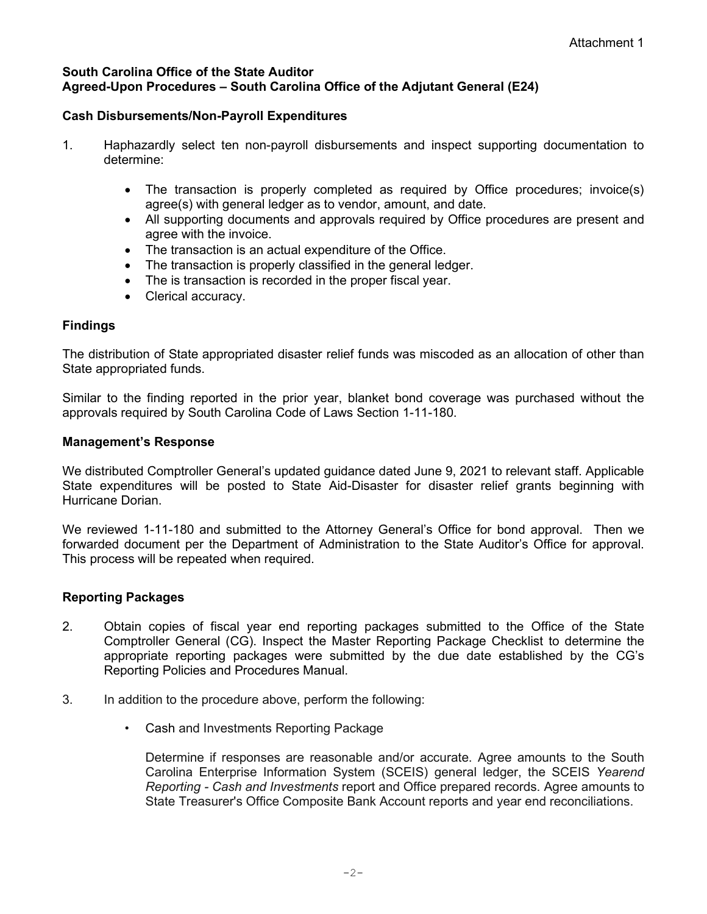### **South Carolina Office of the State Auditor Agreed-Upon Procedures – South Carolina Office of the Adjutant General (E24)**

## **Cash Disbursements/Non-Payroll Expenditures**

- 1. Haphazardly select ten non-payroll disbursements and inspect supporting documentation to determine:
	- The transaction is properly completed as required by Office procedures; invoice(s) agree(s) with general ledger as to vendor, amount, and date.
	- All supporting documents and approvals required by Office procedures are present and agree with the invoice.
	- The transaction is an actual expenditure of the Office.
	- The transaction is properly classified in the general ledger.
	- The is transaction is recorded in the proper fiscal year.
	- Clerical accuracy.

## **Findings**

The distribution of State appropriated disaster relief funds was miscoded as an allocation of other than State appropriated funds.

Similar to the finding reported in the prior year, blanket bond coverage was purchased without the approvals required by South Carolina Code of Laws Section 1-11-180.

### **Management's Response**

We distributed Comptroller General's updated guidance dated June 9, 2021 to relevant staff. Applicable State expenditures will be posted to State Aid-Disaster for disaster relief grants beginning with Hurricane Dorian.

We reviewed 1-11-180 and submitted to the Attorney General's Office for bond approval. Then we forwarded document per the Department of Administration to the State Auditor's Office for approval. This process will be repeated when required.

## **Reporting Packages**

- 2. Obtain copies of fiscal year end reporting packages submitted to the Office of the State Comptroller General (CG). Inspect the Master Reporting Package Checklist to determine the appropriate reporting packages were submitted by the due date established by the CG's Reporting Policies and Procedures Manual.
- 3. In addition to the procedure above, perform the following:
	- Cash and Investments Reporting Package

Determine if responses are reasonable and/or accurate. Agree amounts to the South Carolina Enterprise Information System (SCEIS) general ledger, the SCEIS *Yearend Reporting - Cash and Investments* report and Office prepared records. Agree amounts to State Treasurer's Office Composite Bank Account reports and year end reconciliations.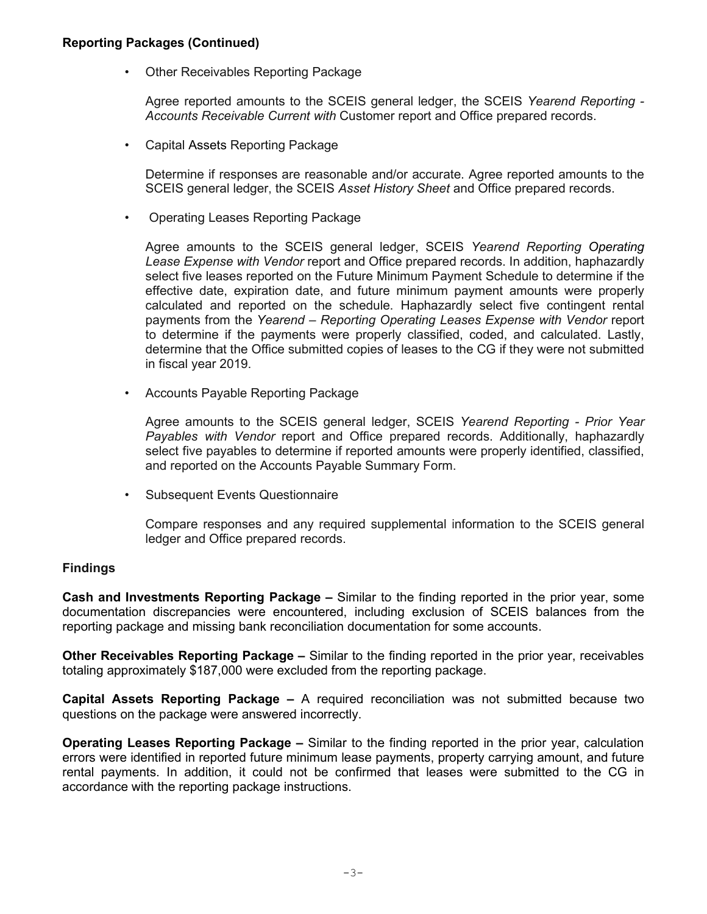### **Reporting Packages (Continued)**

• Other Receivables Reporting Package

Agree reported amounts to the SCEIS general ledger, the SCEIS *Yearend Reporting - Accounts Receivable Current with* Customer report and Office prepared records.

• Capital Assets Reporting Package

Determine if responses are reasonable and/or accurate. Agree reported amounts to the SCEIS general ledger, the SCEIS *Asset History Sheet* and Office prepared records.

• Operating Leases Reporting Package

Agree amounts to the SCEIS general ledger, SCEIS *Yearend Reporting Operating Lease Expense with Vendor* report and Office prepared records. In addition, haphazardly select five leases reported on the Future Minimum Payment Schedule to determine if the effective date, expiration date, and future minimum payment amounts were properly calculated and reported on the schedule. Haphazardly select five contingent rental payments from the *Yearend – Reporting Operating Leases Expense with Vendor* report to determine if the payments were properly classified, coded, and calculated. Lastly, determine that the Office submitted copies of leases to the CG if they were not submitted in fiscal year 2019.

• Accounts Payable Reporting Package

Agree amounts to the SCEIS general ledger, SCEIS *Yearend Reporting - Prior Year Payables with Vendor* report and Office prepared records. Additionally, haphazardly select five payables to determine if reported amounts were properly identified, classified, and reported on the Accounts Payable Summary Form.

• Subsequent Events Questionnaire

Compare responses and any required supplemental information to the SCEIS general ledger and Office prepared records.

### **Findings**

**Cash and Investments Reporting Package –** Similar to the finding reported in the prior year, some documentation discrepancies were encountered, including exclusion of SCEIS balances from the reporting package and missing bank reconciliation documentation for some accounts.

**Other Receivables Reporting Package –** Similar to the finding reported in the prior year, receivables totaling approximately \$187,000 were excluded from the reporting package.

**Capital Assets Reporting Package –** A required reconciliation was not submitted because two questions on the package were answered incorrectly.

**Operating Leases Reporting Package –** Similar to the finding reported in the prior year, calculation errors were identified in reported future minimum lease payments, property carrying amount, and future rental payments. In addition, it could not be confirmed that leases were submitted to the CG in accordance with the reporting package instructions.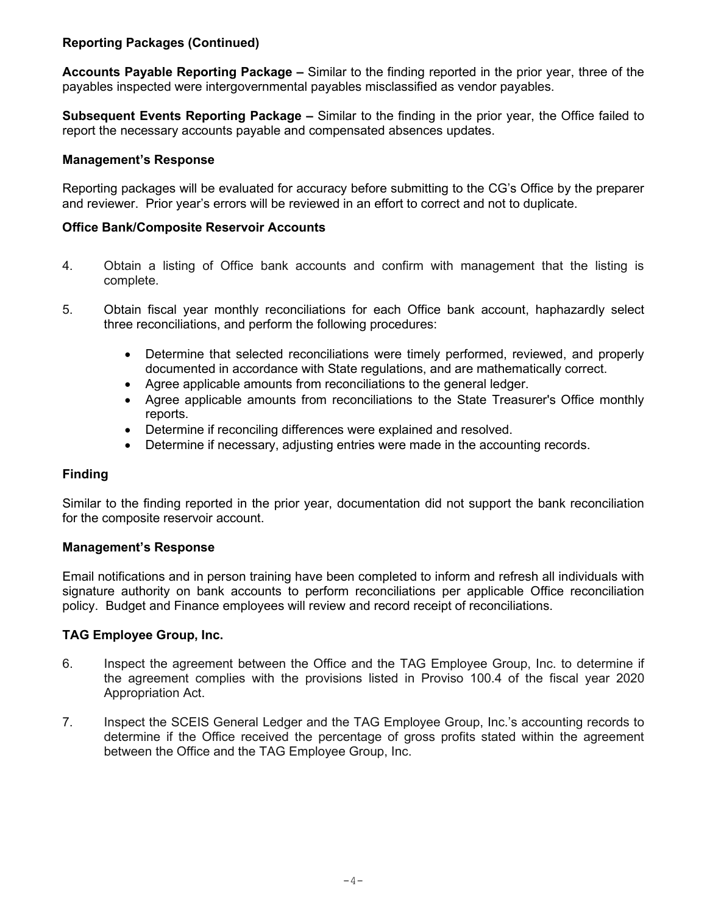# **Reporting Packages (Continued)**

**Accounts Payable Reporting Package –** Similar to the finding reported in the prior year, three of the payables inspected were intergovernmental payables misclassified as vendor payables.

**Subsequent Events Reporting Package –** Similar to the finding in the prior year, the Office failed to report the necessary accounts payable and compensated absences updates.

## **Management's Response**

Reporting packages will be evaluated for accuracy before submitting to the CG's Office by the preparer and reviewer. Prior year's errors will be reviewed in an effort to correct and not to duplicate.

## **Office Bank/Composite Reservoir Accounts**

- 4. Obtain a listing of Office bank accounts and confirm with management that the listing is complete.
- 5. Obtain fiscal year monthly reconciliations for each Office bank account, haphazardly select three reconciliations, and perform the following procedures:
	- Determine that selected reconciliations were timely performed, reviewed, and properly documented in accordance with State regulations, and are mathematically correct.
	- Agree applicable amounts from reconciliations to the general ledger.
	- Agree applicable amounts from reconciliations to the State Treasurer's Office monthly reports.
	- Determine if reconciling differences were explained and resolved.
	- Determine if necessary, adjusting entries were made in the accounting records.

# **Finding**

Similar to the finding reported in the prior year, documentation did not support the bank reconciliation for the composite reservoir account.

## **Management's Response**

Email notifications and in person training have been completed to inform and refresh all individuals with signature authority on bank accounts to perform reconciliations per applicable Office reconciliation policy. Budget and Finance employees will review and record receipt of reconciliations.

## **TAG Employee Group, Inc.**

- 6. Inspect the agreement between the Office and the TAG Employee Group, Inc. to determine if the agreement complies with the provisions listed in Proviso 100.4 of the fiscal year 2020 Appropriation Act.
- 7. Inspect the SCEIS General Ledger and the TAG Employee Group, Inc.'s accounting records to determine if the Office received the percentage of gross profits stated within the agreement between the Office and the TAG Employee Group, Inc.